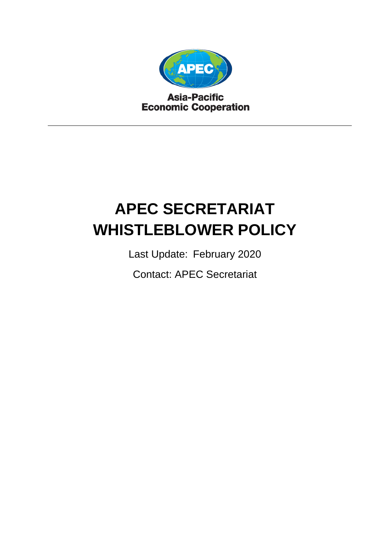

**Asia-Pacific Economic Cooperation** 

# **APEC SECRETARIAT WHISTLEBLOWER POLICY**

Last Update: February 2020

Contact: APEC Secretariat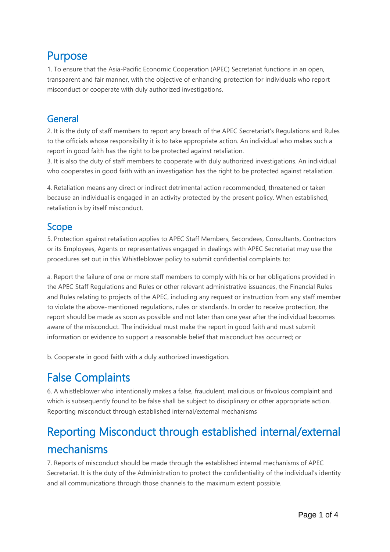#### Purpose

1. To ensure that the Asia-Pacific Economic Cooperation (APEC) Secretariat functions in an open, transparent and fair manner, with the objective of enhancing protection for individuals who report misconduct or cooperate with duly authorized investigations.

#### General

2. It is the duty of staff members to report any breach of the APEC Secretariat's Regulations and Rules to the officials whose responsibility it is to take appropriate action. An individual who makes such a report in good faith has the right to be protected against retaliation.

3. It is also the duty of staff members to cooperate with duly authorized investigations. An individual who cooperates in good faith with an investigation has the right to be protected against retaliation.

4. Retaliation means any direct or indirect detrimental action recommended, threatened or taken because an individual is engaged in an activity protected by the present policy. When established, retaliation is by itself misconduct.

#### Scope

5. Protection against retaliation applies to APEC Staff Members, Secondees, Consultants, Contractors or its Employees, Agents or representatives engaged in dealings with APEC Secretariat may use the procedures set out in this Whistleblower policy to submit confidential complaints to:

a. Report the failure of one or more staff members to comply with his or her obligations provided in the APEC Staff Regulations and Rules or other relevant administrative issuances, the Financial Rules and Rules relating to projects of the APEC, including any request or instruction from any staff member to violate the above-mentioned regulations, rules or standards. In order to receive protection, the report should be made as soon as possible and not later than one year after the individual becomes aware of the misconduct. The individual must make the report in good faith and must submit information or evidence to support a reasonable belief that misconduct has occurred; or

b. Cooperate in good faith with a duly authorized investigation.

## False Complaints

6. A whistleblower who intentionally makes a false, fraudulent, malicious or frivolous complaint and which is subsequently found to be false shall be subject to disciplinary or other appropriate action. Reporting misconduct through established internal/external mechanisms

# Reporting Misconduct through established internal/external mechanisms

7. Reports of misconduct should be made through the established internal mechanisms of APEC Secretariat. It is the duty of the Administration to protect the confidentiality of the individual's identity and all communications through those channels to the maximum extent possible.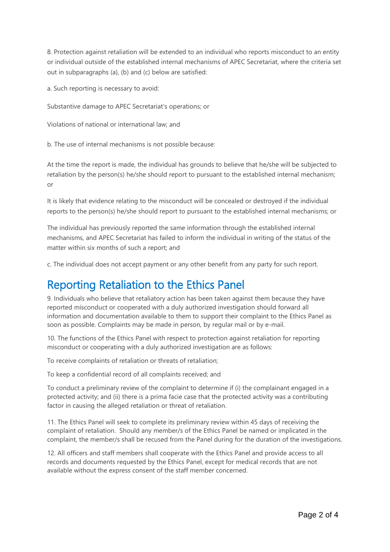8. Protection against retaliation will be extended to an individual who reports misconduct to an entity or individual outside of the established internal mechanisms of APEC Secretariat, where the criteria set out in subparagraphs (a), (b) and (c) below are satisfied:

a. Such reporting is necessary to avoid:

Substantive damage to APEC Secretariat's operations; or

Violations of national or international law; and

b. The use of internal mechanisms is not possible because:

At the time the report is made, the individual has grounds to believe that he/she will be subjected to retaliation by the person(s) he/she should report to pursuant to the established internal mechanism; or

It is likely that evidence relating to the misconduct will be concealed or destroyed if the individual reports to the person(s) he/she should report to pursuant to the established internal mechanisms; or

The individual has previously reported the same information through the established internal mechanisms, and APEC Secretariat has failed to inform the individual in writing of the status of the matter within six months of such a report; and

c. The individual does not accept payment or any other benefit from any party for such report.

## Reporting Retaliation to the Ethics Panel

9. Individuals who believe that retaliatory action has been taken against them because they have reported misconduct or cooperated with a duly authorized investigation should forward all information and documentation available to them to support their complaint to the Ethics Panel as soon as possible. Complaints may be made in person, by regular mail or by e-mail.

10. The functions of the Ethics Panel with respect to protection against retaliation for reporting misconduct or cooperating with a duly authorized investigation are as follows:

To receive complaints of retaliation or threats of retaliation;

To keep a confidential record of all complaints received; and

To conduct a preliminary review of the complaint to determine if (i) the complainant engaged in a protected activity; and (ii) there is a prima facie case that the protected activity was a contributing factor in causing the alleged retaliation or threat of retaliation.

11. The Ethics Panel will seek to complete its preliminary review within 45 days of receiving the complaint of retaliation. Should any member/s of the Ethics Panel be named or implicated in the complaint, the member/s shall be recused from the Panel during for the duration of the investigations.

12. All officers and staff members shall cooperate with the Ethics Panel and provide access to all records and documents requested by the Ethics Panel, except for medical records that are not available without the express consent of the staff member concerned.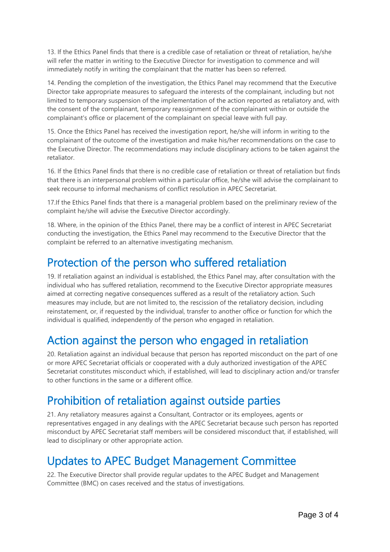13. If the Ethics Panel finds that there is a credible case of retaliation or threat of retaliation, he/she will refer the matter in writing to the Executive Director for investigation to commence and will immediately notify in writing the complainant that the matter has been so referred.

14. Pending the completion of the investigation, the Ethics Panel may recommend that the Executive Director take appropriate measures to safeguard the interests of the complainant, including but not limited to temporary suspension of the implementation of the action reported as retaliatory and, with the consent of the complainant, temporary reassignment of the complainant within or outside the complainant's office or placement of the complainant on special leave with full pay.

15. Once the Ethics Panel has received the investigation report, he/she will inform in writing to the complainant of the outcome of the investigation and make his/her recommendations on the case to the Executive Director. The recommendations may include disciplinary actions to be taken against the retaliator.

16. If the Ethics Panel finds that there is no credible case of retaliation or threat of retaliation but finds that there is an interpersonal problem within a particular office, he/she will advise the complainant to seek recourse to informal mechanisms of conflict resolution in APEC Secretariat.

17.If the Ethics Panel finds that there is a managerial problem based on the preliminary review of the complaint he/she will advise the Executive Director accordingly.

18. Where, in the opinion of the Ethics Panel, there may be a conflict of interest in APEC Secretariat conducting the investigation, the Ethics Panel may recommend to the Executive Director that the complaint be referred to an alternative investigating mechanism.

#### Protection of the person who suffered retaliation

19. If retaliation against an individual is established, the Ethics Panel may, after consultation with the individual who has suffered retaliation, recommend to the Executive Director appropriate measures aimed at correcting negative consequences suffered as a result of the retaliatory action. Such measures may include, but are not limited to, the rescission of the retaliatory decision, including reinstatement, or, if requested by the individual, transfer to another office or function for which the individual is qualified, independently of the person who engaged in retaliation.

## Action against the person who engaged in retaliation

20. Retaliation against an individual because that person has reported misconduct on the part of one or more APEC Secretariat officials or cooperated with a duly authorized investigation of the APEC Secretariat constitutes misconduct which, if established, will lead to disciplinary action and/or transfer to other functions in the same or a different office.

## Prohibition of retaliation against outside parties

21. Any retaliatory measures against a Consultant, Contractor or its employees, agents or representatives engaged in any dealings with the APEC Secretariat because such person has reported misconduct by APEC Secretariat staff members will be considered misconduct that, if established, will lead to disciplinary or other appropriate action.

## Updates to APEC Budget Management Committee

22. The Executive Director shall provide regular updates to the APEC Budget and Management Committee (BMC) on cases received and the status of investigations.